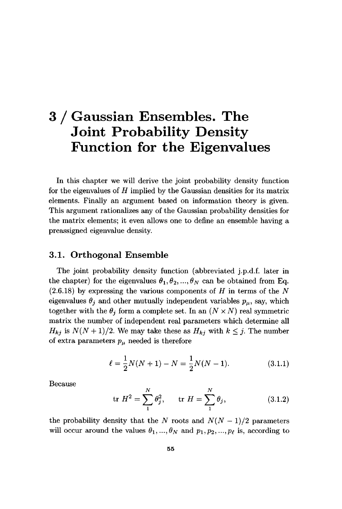# 3 / Gaussian Ensembles. The Joint Probability Density Function for the Eigenvalues

In this chapter we will derive the joint probability density function for the eigenvalues of *H* implied by the Gaussian densities for its matrix elements. Finally an argument based on information theory is given. This argument rationalizes any of the Gaussian probability densities for the matrix elements; it even allows one to define an ensemble having a preassigned eigenvalue density.

#### **3.1. Orthogonal Ensemble**

The joint probability density function (abbreviated j.p.d.f. later in the chapter) for the eigenvalues  $\theta_1, \theta_2, ..., \theta_N$  can be obtained from Eq.  $(2.6.18)$  by expressing the various components of *H* in terms of the N eigenvalues  $\theta_j$  and other mutually independent variables  $p_\mu$ , say, which together with the  $\theta_j$  form a complete set. In an  $(N \times N)$  real symmetric matrix the number of independent real parameters which determine all  $H_{kj}$  is  $N(N+1)/2$ . We may take these as  $H_{kj}$  with  $k \leq j$ . The number of extra parameters *ρμ* needed is therefore

$$
\ell = \frac{1}{2}N(N+1) - N = \frac{1}{2}N(N-1). \tag{3.1.1}
$$

Because

$$
\text{tr } H^2 = \sum_{1}^{N} \theta_j^2, \qquad \text{tr } H = \sum_{1}^{N} \theta_j,
$$
 (3.1.2)

the probability density that the N roots and  $N(N-1)/2$  parameters will occur around the values  $\theta_1, ..., \theta_N$  and  $p_1, p_2, ..., p_\ell$  is, according to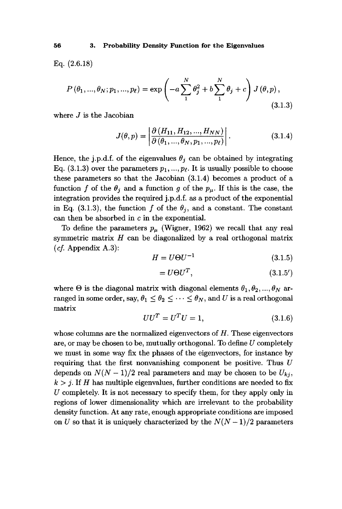Eq. (2.6.18)

$$
P(\theta_1, ..., \theta_N; p_1, ..., p_\ell) = \exp\left(-a\sum_{1}^{N} \theta_j^2 + b\sum_{1}^{N} \theta_j + c\right) J(\theta, p),
$$
\n(3.1.3)

where *J* is the Jacobian

$$
J(\theta, p) = \left| \frac{\partial (H_{11}, H_{12}, ..., H_{NN})}{\partial (\theta_1, ..., \theta_N, p_1, ..., p_\ell)} \right|.
$$
 (3.1.4)

Hence, the j.p.d.f. of the eigenvalues  $\theta_j$  can be obtained by integrating Eq. (3.1.3) over the parameters  $p_1, ..., p_\ell$ . It is usually possible to choose these parameters so that the Jacobian (3.1.4) becomes a product of a function f of the  $\theta_j$  and a function g of the  $p_\mu$ . If this is the case, the integration provides the required j.p.d.f. as a product of the exponential in Eq. (3.1.3), the function f of the  $\theta_j$ , and a constant. The constant can then be absorbed in *c* in the exponential.

To define the parameters  $p_{\mu}$  (Wigner, 1962) we recall that any real symmetric matrix *H* can be diagonalized by a real orthogonal matrix *(cf.* Appendix A.3):

$$
H = U\Theta U^{-1} \tag{3.1.5}
$$

$$
= U\Theta U^T, \tag{3.1.5'}
$$

where  $\Theta$  is the diagonal matrix with diagonal elements  $\theta_1, \theta_2, ..., \theta_N$  arranged in some order, say,  $\theta_1 \leq \theta_2 \leq \cdots \leq \theta_N$ , and *U* is a real orthogonal matrix

$$
UU^T = U^T U = 1,\t\t(3.1.6)
$$

whose columns are the normalized eigenvectors of *H.* These eigenvectors are, or may be chosen to be, mutually orthogonal. To define *U* completely we must in some way fix the phases of the eigenvectors, for instance by requiring that the first nonvanishing component be positive. Thus *U*  depends on  $N(N-1)/2$  real parameters and may be chosen to be  $U_{ki}$ ,  $k > j$ . If *H* has multiple eigenvalues, further conditions are needed to fix *U* completely. It is not necessary to specify them, for they apply only in regions of lower dimensionality which are irrelevant to the probability density function. At any rate, enough appropriate conditions are imposed on *U* so that it is uniquely characterized by the  $N(N-1)/2$  parameters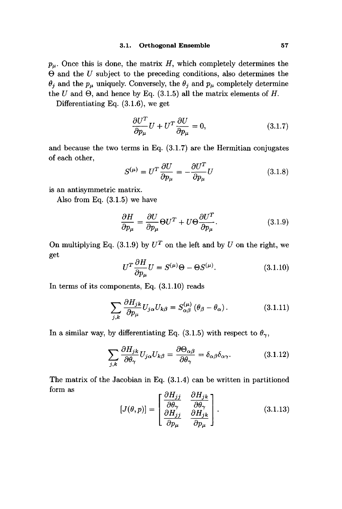$p_{\mu}$ . Once this is done, the matrix H, which completely determines the  $\Theta$  and the  $U$  subject to the preceding conditions, also determines the  $\theta_j$  and the  $p_\mu$  uniquely. Conversely, the  $\theta_j$  and  $p_\mu$  completely determine the  $U$  and  $\Theta$ , and hence by Eq. (3.1.5) all the matrix elements of  $H$ .

Differentiating Eq. (3.1.6), we get

$$
\frac{\partial U^T}{\partial p_\mu} U + U^T \frac{\partial U}{\partial p_\mu} = 0, \qquad (3.1.7)
$$

and because the two terms in Eq. (3.1.7) are the Hermitian conjugates of each other,

$$
S^{(\mu)} = U^T \frac{\partial U}{\partial p_\mu} = -\frac{\partial U^T}{\partial p_\mu} U \tag{3.1.8}
$$

is an antisymmetric matrix.

Also from Eq. (3.1.5) we have

$$
\frac{\partial H}{\partial p_{\mu}} = \frac{\partial U}{\partial p_{\mu}} \Theta U^{T} + U \Theta \frac{\partial U^{T}}{\partial p_{\mu}}.
$$
\n(3.1.9)

On multiplying Eq.  $(3.1.9)$  by  $U^T$  on the left and by  $U$  on the right, we get

$$
U^T \frac{\partial H}{\partial p_\mu} U = S^{(\mu)} \Theta - \Theta S^{(\mu)}.
$$
 (3.1.10)

In terms of its components, Eq. (3.1.10) reads

$$
\sum_{j,k} \frac{\partial H_{jk}}{\partial p_{\mu}} U_{j\alpha} U_{k\beta} = S_{\alpha\beta}^{(\mu)} (\theta_{\beta} - \theta_{\alpha}). \tag{3.1.11}
$$

In a similar way, by differentiating Eq. (3.1.5) with respect to  $\theta_{\gamma}$ ,

$$
\sum_{j,k} \frac{\partial H_{jk}}{\partial \theta_{\gamma}} U_{j\alpha} U_{k\beta} = \frac{\partial \Theta_{\alpha\beta}}{\partial \theta_{\gamma}} = \delta_{\alpha\beta} \delta_{\alpha\gamma}.
$$
 (3.1.12)

The matrix of the Jacobian in Eq. (3.1.4) can be written in partitioned form as

$$
[J(\theta, p)] = \begin{bmatrix} \frac{\partial H_{jj}}{\partial \theta_{\gamma}} & \frac{\partial H_{jk}}{\partial \theta_{\gamma}} \\ \frac{\partial H_{jj}}{\partial p_{\mu}} & \frac{\partial H_{jk}}{\partial p_{\mu}} \end{bmatrix}.
$$
 (3.1.13)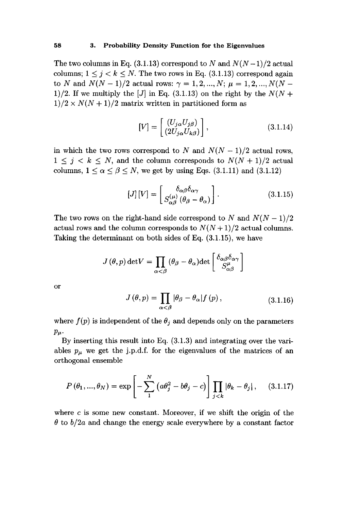The two columns in Eq.  $(3.1.13)$  correspond to N and  $N(N-1)/2$  actual columns;  $1 \leq j \leq k \leq N$ . The two rows in Eq. (3.1.13) correspond again to *N* and  $N(N-1)/2$  actual rows:  $\gamma = 1, 2, ..., N$ ;  $\mu = 1, 2, ..., N(N-1)$ 1)/2. If we multiply the [J] in Eq. (3.1.13) on the right by the  $N(N +$  $1/2 \times N(N+1)/2$  matrix written in partitioned form as

$$
[V] = \begin{bmatrix} (U_{j\alpha} U_{j\beta}) \\ (2U_{j\alpha} U_{k\beta}) \end{bmatrix},
$$
\n(3.1.14)

in which the two rows correspond to N and  $N(N-1)/2$  actual rows,  $1 \leq j \leq k \leq N$ , and the column corresponds to  $N(N + 1)/2$  actual columns,  $1 \le \alpha \le \beta \le N$ , we get by using Eqs. (3.1.11) and (3.1.12)

$$
[J][V] = \begin{bmatrix} \delta_{\alpha\beta}\delta_{\alpha\gamma} \\ S_{\alpha\beta}^{(\mu)}(\theta_{\beta} - \theta_{\alpha}) \end{bmatrix} . \tag{3.1.15}
$$

The two rows on the right-hand side correspond to N and  $N(N-1)/2$ actual rows and the column corresponds to  $N(N+1)/2$  actual columns. Taking the determinant on both sides of Eq. (3.1.15), we have

$$
J(\theta, p) \det V = \prod_{\alpha < \beta} (\theta_{\beta} - \theta_{\alpha}) \det \begin{bmatrix} \delta_{\alpha\beta}\delta_{\alpha\gamma} \\ S_{\alpha\beta}^{\mu} \end{bmatrix}
$$

or

$$
J(\theta, p) = \prod_{\alpha < \beta} |\theta_{\beta} - \theta_{\alpha}| f(p), \qquad (3.1.16)
$$

where  $f(p)$  is independent of the  $\theta_j$  and depends only on the parameters  $p_\mu$ .

By inserting this result into Eq. (3.1.3) and integrating over the variables  $p_{\mu}$  we get the j.p.d.f. for the eigenvalues of the matrices of an orthogonal ensemble

$$
P(\theta_1, ..., \theta_N) = \exp\left[-\sum_{1}^{N} \left(a\theta_j^2 - b\theta_j - c\right)\right] \prod_{j < k} |\theta_k - \theta_j|, \quad (3.1.17)
$$

where  $c$  is some new constant. Moreover, if we shift the origin of the  $\theta$  to  $b/2a$  and change the energy scale everywhere by a constant factor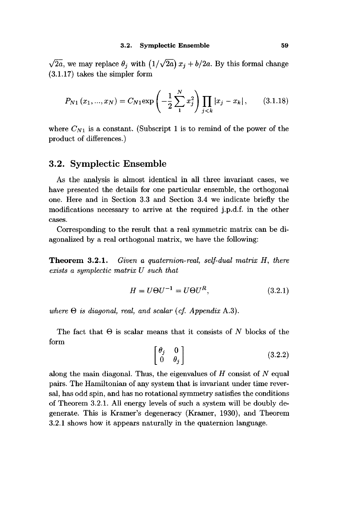$\sqrt{2a}$ , we may replace  $\theta_j$  with  $(1/\sqrt{2a}) x_j + b/2a$ . By this formal change (3.1.17) takes the simpler form

$$
P_{N1}(x_1,...,x_N) = C_{N1} \exp\left(-\frac{1}{2} \sum_{1}^{N} x_j^2\right) \prod_{j < k} |x_j - x_k|, \qquad (3.1.18)
$$

where  $C_{N1}$  is a constant. (Subscript 1 is to remind of the power of the product of differences.)

## **3.2. Symplectic Ensemble**

As the analysis is almost identical in all three invariant cases, we have presented the details for one particular ensemble, the orthogonal one. Here and in Section 3.3 and Section 3.4 we indicate briefly the modifications necessary to arrive at the required j.p.d.f. in the other cases.

Corresponding to the result that a real symmetric matrix can be diagonalized by a real orthogonal matrix, we have the following:

**Theorem 3.2.1.** *Given a quaternion-real, self-dual matrix H, there exists a symplectic matrix U such that* 

$$
H = U\Theta U^{-1} = U\Theta U^R, \qquad (3.2.1)
$$

*where* Θ *is diagonal, real, and scalar {cf. Appendix* A.3).

The fact that Θ is scalar means that it consists of *N* blocks of the form

$$
\begin{bmatrix} \theta_j & 0 \\ 0 & \theta_j \end{bmatrix} \tag{3.2.2}
$$

along the main diagonal. Thus, the eigenvalues of  $H$  consist of  $N$  equal pairs. The Hamiltonian of any system that is invariant under time reversal, has odd spin, and has no rotational symmetry satisfies the conditions of Theorem 3.2.1. All energy levels of such a system will be doubly degenerate. This is Kramer's degeneracy (Kramer, 1930), and Theorem 3.2.1 shows how it appears naturally in the quaternion language.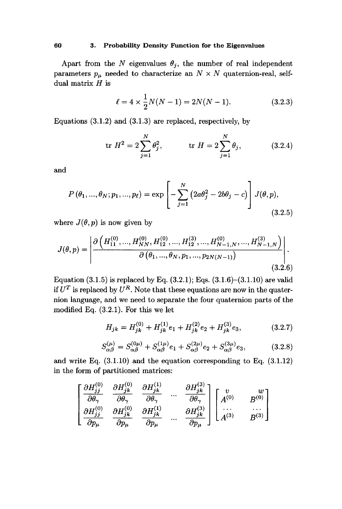#### **60 3. Probability Density Function for the Eigenvalues**

Apart from the N eigenvalues  $\theta_j$ , the number of real independent parameters  $p_{\mu}$  needed to characterize an  $N \times N$  quaternion-real, selfdual matrix *H* is

$$
\ell = 4 \times \frac{1}{2}N(N-1) = 2N(N-1). \tag{3.2.3}
$$

Equations (3.1.2) and (3.1.3) are replaced, respectively, by

$$
\text{tr } H^2 = 2 \sum_{j=1}^{N} \theta_j^2, \qquad \text{tr } H = 2 \sum_{j=1}^{N} \theta_j, \qquad (3.2.4)
$$

and

$$
P(\theta_1, ..., \theta_N; p_1, ..., p_\ell) = \exp\left[-\sum_{j=1}^N (2a\theta_j^2 - 2b\theta_j - c)\right] J(\theta, p),
$$
\n(3.2.5)

where  $J(\theta, p)$  is now given by

$$
J(\theta, p) = \left| \frac{\partial \left( H_{11}^{(0)}, ..., H_{NN}^{(0)}, H_{12}^{(0)}, ..., H_{12}^{(3)}, ..., H_{N-1,N}^{(0)}, ..., H_{N-1,N}^{(3)} \right)}{\partial \left( \theta_1, ..., \theta_N, p_1, ..., p_{2N(N-1)} \right)} \right|.
$$
\n(3.2.6)

Equation  $(3.1.5)$  is replaced by Eq.  $(3.2.1)$ ; Eqs.  $(3.1.6)-(3.1.10)$  are valid if  $U^T$  is replaced by  $U^R$ . Note that these equations are now in the quaternion language, and we need to separate the four quaternion parts of the modified Eq. (3.2.1). For this we let

$$
H_{jk} = H_{jk}^{(0)} + H_{jk}^{(1)}e_1 + H_{jk}^{(2)}e_2 + H_{jk}^{(3)}e_3, \qquad (3.2.7)
$$

$$
S_{\alpha\beta}^{(\mu)} = S_{\alpha\beta}^{(0\mu)} + S_{\alpha\beta}^{(1\mu)} e_1 + S_{\alpha\beta}^{(2\mu)} e_2 + S_{\alpha\beta}^{(3\mu)} e_3, \tag{3.2.8}
$$

and write Eq. (3.1.10) and the equation corresponding to Eq. (3.1.12) in the form of partitioned matrices:

$$
\begin{bmatrix}\n\frac{\partial H_{jj}^{(0)}}{\partial \theta_{\gamma}} & \frac{\partial H_{jk}^{(0)}}{\partial \theta_{\gamma}} & \frac{\partial H_{jk}^{(1)}}{\partial \theta_{\gamma}} & \dots & \frac{\partial H_{jk}^{(3)}}{\partial \theta_{\gamma}} \\
\frac{\partial H_{jj}^{(0)}}{\partial p_{\mu}} & \frac{\partial H_{jk}^{(0)}}{\partial p_{\mu}} & \frac{\partial H_{jk}^{(1)}}{\partial p_{\mu}} & \dots & \frac{\partial H_{jk}^{(3)}}{\partial p_{\mu}}\n\end{bmatrix}\n\begin{bmatrix}\nv & w \\
A^{(0)} & B^{(0)} \\
\dots & \dots \\
A^{(3)} & B^{(3)}\n\end{bmatrix}
$$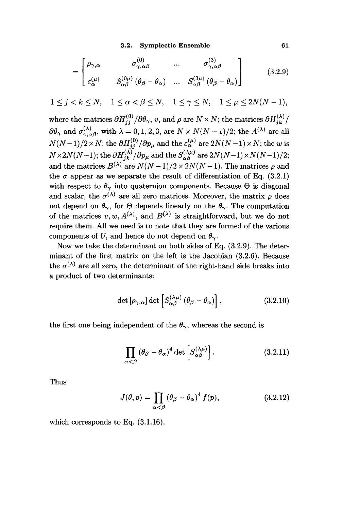**3.2. Symplectic Ensemble 61** 

$$
= \begin{bmatrix} \rho_{\gamma,\alpha} & \sigma_{\gamma,\alpha\beta}^{(0)} & \dots & \sigma_{\gamma,\alpha\beta}^{(3)} \\ \varepsilon_{\alpha}^{(\mu)} & S_{\alpha\beta}^{(0\mu)}(\theta_{\beta} - \theta_{\alpha}) & \dots & S_{\alpha\beta}^{(3\mu)}(\theta_{\beta} - \theta_{\alpha}) \end{bmatrix}
$$
(3.2.9)

$$
1 \leq j < k \leq N, \quad 1 \leq \alpha < \beta \leq N, \quad 1 \leq \gamma \leq N, \quad 1 \leq \mu \leq 2N(N-1),
$$

where the matrices  $\partial H^{(0)}_{jj} / \partial \theta_{\gamma}$ , *v*, and  $\rho$  are  $N \times N$ ; the matrices  $\partial H^{(\lambda)}_{jk} / \theta_{\gamma}$  $\partial \theta_{\gamma}$  and  $\sigma_{\gamma,\alpha\beta}^{(\lambda)}$ , with  $\lambda = 0,1,2,3$ , are  $N \times N(N-1)/2$ ; the  $A^{(\lambda)}$  are all  $N(N-1)/2 \times N$ ; the  $\partial H^{(0)}/\partial p$ , and the  $\varepsilon_{\kappa}^{(\mu)}$  are  $2N(N-1) \times N$ ; the w is  $N \times 2N(N-1)$ ; the  $\partial H^{(\lambda)} / \partial n$  and the  $S^{(\lambda \mu)}$  are  $2N(N-1) \times N(N-1)/2$ ; and the matrices  $B^{(\lambda)}$  are  $N(N-1)/2 \times 2N(N-1)$ . The matrices e and and the matrices  $B^{(\lambda)}$  are  $N(N-1)/2 \times 2N(N-1)$ . The matrices  $\rho$  and the  $\sigma$  appear as we separate the result of differentiation of Eq. (3.2.1) with respect to  $\theta_{\gamma}$  into quaternion components. Because  $\Theta$  is diagonal and scalar, the  $\sigma^{(\lambda)}$  are all zero matrices. Moreover, the matrix  $\rho$  does not depend on  $\theta_{\gamma}$ , for  $\Theta$  depends linearly on the  $\theta_{\gamma}$ . The computation of the matrices  $v, w, A^{(\lambda)}$ , and  $B^{(\lambda)}$  is straightforward, but we do not require them. All we need is to note that they are formed of the various components of U, and hence do not depend on  $\theta_{\gamma}$ .

Now we take the determinant on both sides of Eq. (3.2.9). The determinant of the first matrix on the left is the Jacobian (3.2.6). Because the  $\sigma^{(\lambda)}$  are all zero, the determinant of the right-hand side breaks into a product of two determinants:

$$
\det\left[\rho_{\gamma,\alpha}\right] \det\left[S^{(\lambda\mu)}_{\alpha\beta}\left(\theta_{\beta}-\theta_{\alpha}\right)\right],\tag{3.2.10}
$$

the first one being independent of the  $\theta_{\gamma}$ , whereas the second is

$$
\prod_{\alpha < \beta} \left( \theta_{\beta} - \theta_{\alpha} \right)^{4} \det \left[ S_{\alpha \beta}^{(\lambda \mu)} \right]. \tag{3.2.11}
$$

Thus

$$
J(\theta, p) = \prod_{\alpha < \beta} \left(\theta_{\beta} - \theta_{\alpha}\right)^{4} f(p),\tag{3.2.12}
$$

which corresponds to Eq. (3.1.16).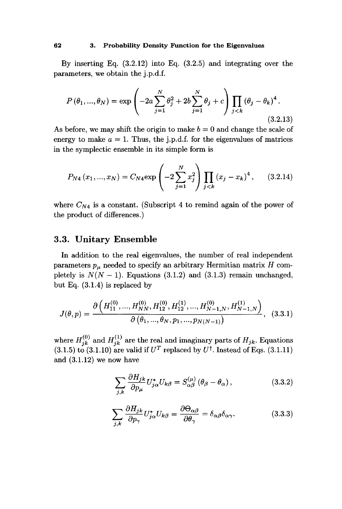By inserting Eq. (3.2.12) into Eq. (3.2.5) and integrating over the parameters, we obtain the j.p.d.f.

$$
P(\theta_1, ..., \theta_N) = \exp\left(-2a\sum_{j=1}^N \theta_j^2 + 2b\sum_{j=1}^N \theta_j + c\right) \prod_{j < k} (\theta_j - \theta_k)^4.
$$
\n(3.2.13)

As before, we may shift the origin to make  $b = 0$  and change the scale of energy to make  $a = 1$ . Thus, the j.p.d.f. for the eigenvalues of matrices in the symplectic ensemble in its simple form is

$$
P_{N4}(x_1,...,x_N) = C_{N4} \exp\left(-2\sum_{j=1}^N x_j^2\right) \prod_{j < k} (x_j - x_k)^4, \quad (3.2.14)
$$

where  $C_{N4}$  is a constant. (Subscript 4 to remind again of the power of the product of differences.)

## **3.3. Unitary Ensemble**

In addition to the real eigenvalues, the number of real independent parameters *ρμ* needed to specify an arbitrary Hermitian matrix *H* completely is  $N(N-1)$ . Equations (3.1.2) and (3.1.3) remain unchanged, but Eq. (3.1.4) is replaced by

$$
J(\theta, p) = \frac{\partial \left( H_{11}^{(0)}, \dots, H_{NN}^{(0)}, H_{12}^{(0)}, H_{12}^{(1)}, \dots, H_{N-1,N}^{(0)}, H_{N-1,N}^{(1)} \right)}{\partial \left( \theta_1, \dots, \theta_N, p_1, \dots, p_{N(N-1)} \right)}, \quad (3.3.1)
$$

where  $H_{jk}^{(0)}$  and  $H_{jk}^{(1)}$  are the real and imaginary parts of  $H_{jk}$ . Equations  $(3.1.5)$  to  $(3.1.10)$  are valid if  $U<sup>T</sup>$  replaced by  $U<sup>\dagger</sup>$ . Instead of Eqs.  $(3.1.11)$ and (3.1.12) we now have

$$
\sum_{j,k} \frac{\partial H_{jk}}{\partial p_{\mu}} U_{j\alpha}^* U_{k\beta} = S_{\alpha\beta}^{(\mu)} (\theta_{\beta} - \theta_{\alpha}), \qquad (3.3.2)
$$

$$
\sum_{j,k} \frac{\partial H_{jk}}{\partial p_{\gamma}} U_{j\alpha}^{*} U_{k\beta} = \frac{\partial \Theta_{\alpha\beta}}{\partial \theta_{\gamma}} = \delta_{\alpha\beta} \delta_{\alpha\gamma}.
$$
 (3.3.3)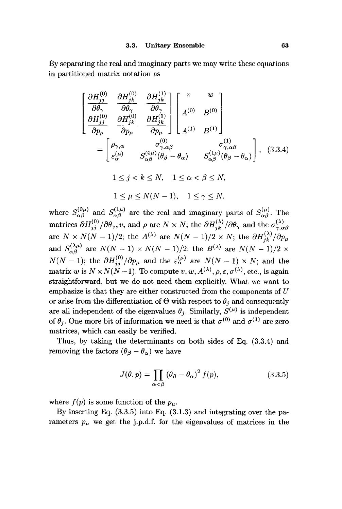By separating the real and imaginary parts we may write these equations in partitioned matrix notation as

$$
\begin{bmatrix}\n\frac{\partial H_{jj}^{(0)}}{\partial \theta_{\gamma}} & \frac{\partial H_{jk}^{(0)}}{\partial \theta_{\gamma}} & \frac{\partial H_{jk}^{(1)}}{\partial \theta_{\gamma}} \\
\frac{\partial H_{jj}^{(0)}}{\partial p_{\mu}} & \frac{\partial H_{jk}^{(0)}}{\partial p_{\mu}} & \frac{\partial H_{jk}^{(1)}}{\partial p_{\mu}}\n\end{bmatrix}\n\begin{bmatrix}\nv & w \\
w & \nu \\
A^{(0)} & B^{(0)}\n\end{bmatrix}
$$
\n
$$
= \begin{bmatrix}\n\rho_{\gamma,\alpha} & \sigma_{\gamma,\alpha\beta}^{(0)} & \sigma_{\gamma,\alpha\beta}^{(1)} \\
\varepsilon_{\alpha}^{(\mu)} & S_{\alpha\beta}^{(0)}(\theta_{\beta} - \theta_{\alpha}) & S_{\alpha\beta}^{(1\mu)}(\theta_{\beta} - \theta_{\alpha})\n\end{bmatrix}, (3.3.4)
$$
\n
$$
1 \leq j < k \leq N, \quad 1 \leq \alpha < \beta \leq N,
$$
\n
$$
1 \leq \mu \leq N(N-1), \quad 1 \leq \gamma \leq N.
$$

where  $S^{(0\mu)}_{\alpha\beta}$  and  $S^{(1\mu)}_{\alpha\beta}$  are the real and imaginary parts of  $S^{(\mu)}_{\alpha\beta}$ . The matrices  $\partial H_{jj}^{(0)}/\partial \theta_{\gamma}, v$ , and  $\rho$  are  $N \times N$ ; the  $\partial H_{jk}^{(\lambda)}/\partial \theta_{\gamma}$  and the  $\sigma_{\gamma,\alpha\beta}^{(\lambda)}$ are  $N \times N(N-1)/2$ ; the  $A^{(\lambda)}$  are  $N(N-1)/2 \times N$ ; the  $\partial H_{jk}^{(\lambda)}/\partial p_\mu$ and  $S^{(\lambda\mu)}_{\alpha\beta}$  are  $N(N-1) \times N(N-1)/2$ ; the  $B^{(\lambda)}$  are  $N(N-1)/2 \times$  $N(N-1)$ ; the  $\partial H_{jj}^{(0)}/\partial p_{\mu}$  and the  $\varepsilon_{\alpha}^{(\mu)}$  are  $N(N-1) \times N$ ; and the matrix *w* is  $N \times N(N-1)$ . To compute  $v, w, A^{(\lambda)}, \rho, \varepsilon, \sigma^{(\lambda)},$  etc., is again straightforward, but we do not need them explicitly. What we want to emphasize is that they are either constructed from the components of *U*  or arise from the differentiation of  $\Theta$  with respect to  $\theta_j$  and consequently are all independent of the eigenvalues  $\theta_i$ . Similarly,  $S^{(\mu)}$  is independent of  $\theta_j$ . One more bit of information we need is that  $\sigma^{(0)}$  and  $\sigma^{(1)}$  are zero matrices, which can easily be verified.

Thus, by taking the determinants on both sides of Eq. (3.3.4) and removing the factors  $(\theta_{\beta} - \theta_{\alpha})$  we have

$$
J(\theta, p) = \prod_{\alpha < \beta} \left(\theta_{\beta} - \theta_{\alpha}\right)^2 f(p),\tag{3.3.5}
$$

where  $f(p)$  is some function of the  $p_{\mu}$ .

By inserting Eq. (3.3.5) into Eq. (3.1.3) and integrating over the parameters  $p_{\mu}$  we get the j.p.d.f. for the eigenvalues of matrices in the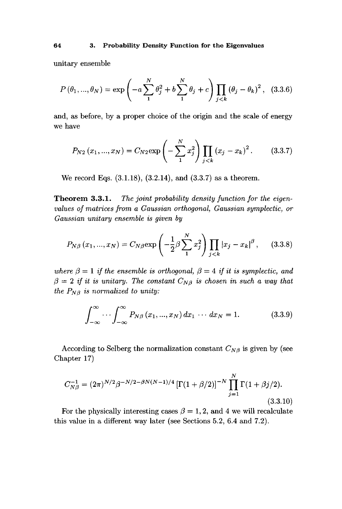unitary ensemble

$$
P(\theta_1, ..., \theta_N) = \exp\left(-a\sum_{1}^{N} \theta_j^2 + b\sum_{1}^{N} \theta_j + c\right) \prod_{j < k} (\theta_j - \theta_k)^2, \quad (3.3.6)
$$

and, as before, by a proper choice of the origin and the scale of energy we have

$$
P_{N2}(x_1,...,x_N) = C_{N2} \exp\left(-\sum_{1}^{N} x_j^2\right) \prod_{j < k} \left(x_j - x_k\right)^2. \tag{3.3.7}
$$

We record Eqs. (3.1.18), (3.2.14), and (3.3.7) as a theorem.

**Theorem 3.3.1.** *The joint probability density function for the eigenvalues of matrices from a Gaussian orthogonal, Gaussian symplectic, or Gaussian unitary ensemble is given by* 

$$
P_{N\beta}(x_1, ..., x_N) = C_{N\beta} \exp\left(-\frac{1}{2}\beta \sum_{1}^{N} x_j^2\right) \prod_{j < k} |x_j - x_k|^\beta, \quad (3.3.8)
$$

*where*  $\beta = 1$  *if the ensemble is orthogonal,*  $\beta = 4$  *if it is symplectic, and*  $\beta = 2$  if it is unitary. The constant  $C_{N\beta}$  is chosen in such a way that *the*  $P_{N\beta}$  *is normalized to unity:* 

$$
\int_{-\infty}^{\infty} \cdots \int_{-\infty}^{\infty} P_{N\beta}(x_1, ..., x_N) dx_1 \cdots dx_N = 1.
$$
 (3.3.9)

According to Selberg the normalization constant  $C_{N\beta}$  is given by (see Chapter 17)

$$
C_{N\beta}^{-1} = (2\pi)^{N/2} \beta^{-N/2 - \beta N(N-1)/4} \left[ \Gamma(1+\beta/2) \right]^{-N} \prod_{j=1}^{N} \Gamma(1+\beta j/2).
$$
\n(3.3.10)

For the physically interesting cases  $\beta = 1, 2$ , and 4 we will recalculate this value in a different way later (see Sections 5.2, 6.4 and 7.2).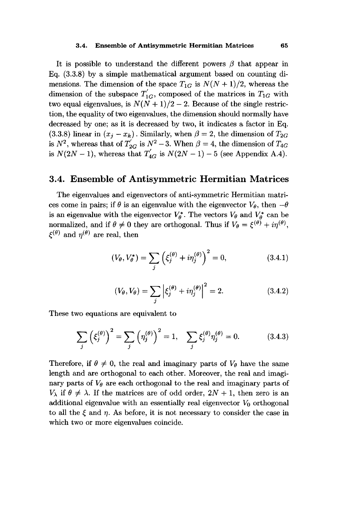#### **3.4. Ensemble of Antisymmetric Hermitian Matrices 65**

It is possible to understand the different powers  $\beta$  that appear in Eq. (3.3.8) by a simple mathematical argument based on counting dimensions. The dimension of the space  $T_{1G}$  is  $N(N+1)/2$ , whereas the dimension of the subspace  $T'_{1G}$ , composed of the matrices in  $T_{1G}$  with two equal eigenvalues, is  $N(N+1)/2-2$ . Because of the single restriction, the equality of two eigenvalues, the dimension should normally have decreased by one; as it is decreased by two, it indicates a factor in Eq. (3.3.8) linear in  $(x_j - x_k)$ . Similarly, when  $\beta = 2$ , the dimension of  $T_{2G}$ is  $N^2$ , whereas that of  $T'_{2G}$  is  $N^2 - 3$ . When  $\beta = 4$ , the dimension of  $T_{4G}$ is  $N(2N-1)$ , whereas that  $T'_{4G}$  is  $N(2N-1) - 5$  (see Appendix A.4).

## **3.4. Ensemble of Antisymmetric Hermitian Matrices**

The eigenvalues and eigenvectors of anti-symmetric Hermitian matrices come in pairs; if  $\theta$  is an eigenvalue with the eigenvector  $V_{\theta}$ , then  $-\theta$ is an eigenvalue with the eigenvector  $V_{\theta}^*$ . The vectors  $V_{\theta}$  and  $V_{\theta}^*$  can be normalized, and if  $\theta \neq 0$  they are orthogonal. Thus if  $V_{\theta} = \xi^{(\theta)} + i \eta^{(\theta)}$ ,  $\xi^{(\theta)}$  and  $\eta^{(\theta)}$  are real, then

$$
(V_{\theta}, V_{\theta}^*) = \sum_{j} \left( \xi_j^{(\theta)} + i \eta_j^{(\theta)} \right)^2 = 0, \tag{3.4.1}
$$

$$
(V_{\theta}, V_{\theta}) = \sum_{j} \left| \xi_{j}^{(\theta)} + i \eta_{j}^{(\theta)} \right|^{2} = 2.
$$
 (3.4.2)

These two equations are equivalent to

$$
\sum_{j} \left(\xi_{j}^{(\theta)}\right)^{2} = \sum_{j} \left(\eta_{j}^{(\theta)}\right)^{2} = 1, \quad \sum_{j} \xi_{j}^{(\theta)} \eta_{j}^{(\theta)} = 0. \tag{3.4.3}
$$

Therefore, if  $\theta \neq 0$ , the real and imaginary parts of  $V_{\theta}$  have the same length and are orthogonal to each other. Moreover, the real and imaginary parts of  $V_{\theta}$  are each orthogonal to the real and imaginary parts of  $V_{\lambda}$  if  $\theta \neq \lambda$ . If the matrices are of odd order,  $2N + 1$ , then zero is an additional eigenvalue with an essentially real eigenvector  $V_0$  orthogonal to all the  $\xi$  and  $\eta$ . As before, it is not necessary to consider the case in which two or more eigenvalues coincide.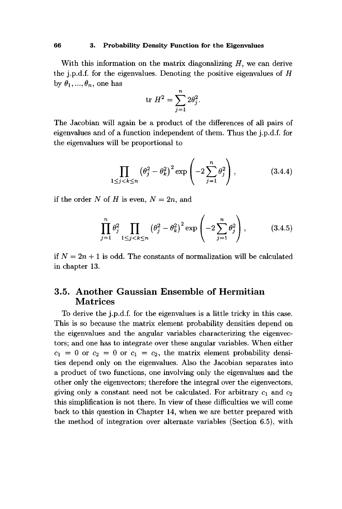#### **66 3. Probability Density Function for the Eigenvalues**

With this information on the matrix diagonalizing  $H$ , we can derive the j.p.d.f. for the eigenvalues. Denoting the positive eigenvalues of *H*  by  $\theta_1, ..., \theta_n$ , one has

$$
\mathrm{tr} \ H^2 = \sum_{j=1}^n 2\theta_j^2.
$$

The Jacobian will again be a product of the differences of all pairs of eigenvalues and of a function independent of them. Thus the j.p.d.f. for the eigenvalues will be proportional to

$$
\prod_{1 \le j < k \le n} \left(\theta_j^2 - \theta_k^2\right)^2 \exp\left(-2\sum_{j=1}^n \theta_j^2\right),\tag{3.4.4}
$$

if the order *N* of *H* is even, *N = 2n,* and

$$
\prod_{j=1}^{n} \theta_j^2 \prod_{1 \le j < k \le n} \left( \theta_j^2 - \theta_k^2 \right)^2 \exp\left( -2 \sum_{j=1}^{n} \theta_j^2 \right),\tag{3.4.5}
$$

if  $N = 2n + 1$  is odd. The constants of normalization will be calculated in chapter 13.

# 3.5. Another Gaussian Ensemble of Hermitian Matrices

To derive the j.p.d.f. for the eigenvalues is a little tricky in this case. This is so because the matrix element probability densities depend on the eigenvalues and the angular variables characterizing the eigenvectors; and one has to integrate over these angular variables. When either  $c_1 = 0$  or  $c_2 = 0$  or  $c_1 = c_2$ , the matrix element probability densities depend only on the eigenvalues. Also the Jacobian separates into a product of two functions, one involving only the eigenvalues and the other only the eigenvectors; therefore the integral over the eigenvectors, giving only a constant need not be calculated. For arbitrary  $c_1$  and  $c_2$ this simplification is not there. In view of these difficulties we will come back to this question in Chapter 14, when we are better prepared with the method of integration over alternate variables (Section 6.5), with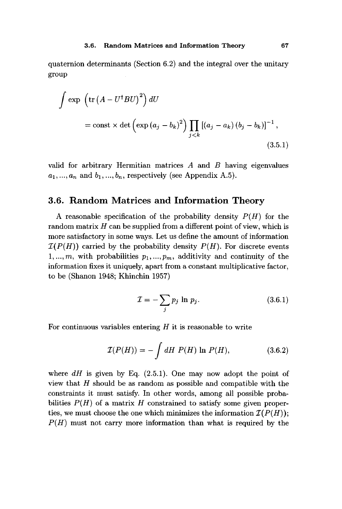quaternion determinants (Section 6.2) and the integral over the unitary group

$$
\int \exp\left(\operatorname{tr}\left(A - U^{\dagger}BU\right)^{2}\right) dU
$$
\n
$$
= \operatorname{const} \times \det\left(\exp\left(a_{j} - b_{k}\right)^{2}\right) \prod_{j < k} \left[\left(a_{j} - a_{k}\right)\left(b_{j} - b_{k}\right)\right]^{-1},\tag{3.5.1}
$$

valid for arbitrary Hermitian matrices *A* and *B* having eigenvalues  $a_1, ..., a_n$  and  $b_1, ..., b_n$ , respectively (see Appendix A.5).

# **3.6. Random Matrices and Information Theory**

A reasonable specification of the probability density *P(H)* for the random matrix *H* can be supplied from a different point of view, which is more satisfactory in some ways. Let us define the amount of information  $\mathcal{I}(P(H))$  carried by the probability density  $P(H)$ . For discrete events  $1, \ldots, m$ , with probabilities  $p_1, \ldots, p_m$ , additivity and continuity of the information fixes it uniquely, apart from a constant multiplicative factor, to be (Shanon 1948; Khinchin 1957)

$$
\mathcal{I} = -\sum_{j} p_j \ln p_j. \tag{3.6.1}
$$

For continuous variables entering *H* it is reasonable to write

$$
\mathcal{I}(P(H)) = -\int dH \ P(H) \ln P(H), \qquad (3.6.2)
$$

where  $dH$  is given by Eq. (2.5.1). One may now adopt the point of view that *H* should be as random as possible and compatible with the constraints it must satisfy. In other words, among all possible probabilities *P(H)* of a matrix *H* constrained to satisfy some given properties, we must choose the one which minimizes the information  $\mathcal{I}(P(H))$ ; *P(H)* must not carry more information than what is required by the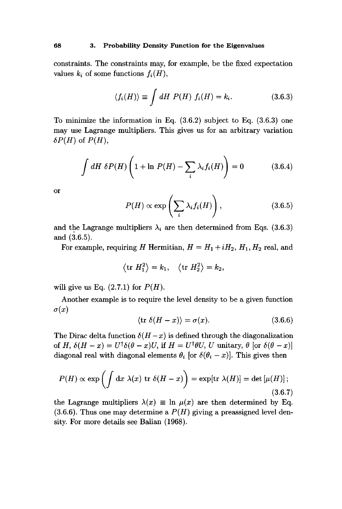constraints. The constraints may, for example, be the fixed expectation values  $k_i$  of some functions  $f_i(H)$ ,

$$
\langle f_i(H) \rangle \equiv \int dH \ P(H) \ f_i(H) = k_i. \tag{3.6.3}
$$

To minimize the information in Eq. (3.6.2) subject to Eq. (3.6.3) one may use Lagrange multipliers. This gives us for an arbitrary variation  $\delta P(H)$  of  $P(H)$ ,

$$
\int dH \ \delta P(H) \left( 1 + \ln P(H) - \sum_{i} \lambda_i f_i(H) \right) = 0 \tag{3.6.4}
$$

or

$$
P(H) \propto \exp\left(\sum_{i} \lambda_i f_i(H)\right), \qquad (3.6.5)
$$

and the Lagrange multipliers  $\lambda_i$  are then determined from Eqs. (3.6.3) and (3.6.5).

For example, requiring *H* Hermitian,  $H = H_1 + iH_2$ ,  $H_1$ ,  $H_2$  real, and

$$
\langle \text{tr } H_1^2 \rangle = k_1, \quad \langle \text{tr } H_2^2 \rangle = k_2,
$$

will give us Eq.  $(2.7.1)$  for  $P(H)$ .

Another example is to require the level density to be a given function  $\sigma(x)$ 

$$
\langle \text{tr } \delta(H - x) \rangle = \sigma(x). \tag{3.6.6}
$$

The Dirac delta function  $\delta(H-x)$  is defined through the diagonalization of *H*,  $\delta(H - x) = U^{\dagger} \delta(\theta - x) U$ , if  $H = U^{\dagger} \theta U$ , *U* unitary,  $\theta$  [or  $\delta(\theta - x)$ ] diagonal real with diagonal elements  $\theta_i$  [or  $\delta(\theta_i - x)$ ]. This gives then

$$
P(H) \propto \exp\left(\int \mathrm{d}x \,\,\lambda(x) \,\,\mathrm{tr}\,\,\delta(H-x)\right) = \exp[\mathrm{tr}\,\,\lambda(H)] = \det\left[\mu(H)\right];\tag{3.6.7}
$$

the Lagrange multipliers  $\lambda(x) \equiv \ln \mu(x)$  are then determined by Eq.  $(3.6.6)$ . Thus one may determine a  $P(H)$  giving a preassigned level density. For more details see Balian (1968).